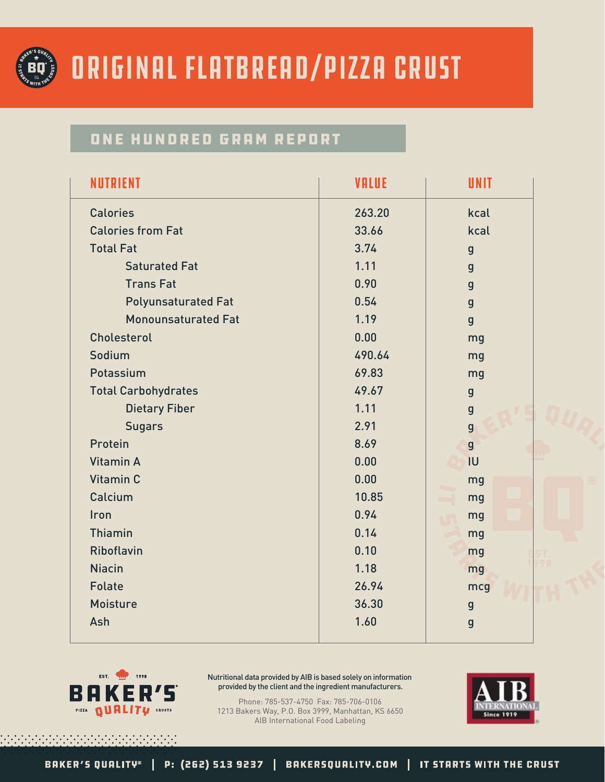

### Original Flatbread/Pizza Crust

#### ONE HUNDRED GRAM REPORT

|        | <b>UNIT</b>    |
|--------|----------------|
| 263.20 | kcal           |
| 33.66  | kcal           |
| 3.74   | $\mathbf{g}$   |
| 1.11   | $\mathbf{g}$   |
| 0.90   | $\mathbf{g}$   |
| 0.54   | $\mathbf{g}$   |
| 1.19   | $\mathbf{g}$   |
| 0.00   | mg             |
| 490.64 | mg             |
| 69.83  | mg             |
| 49.67  | $\mathbf{g}$   |
| 1.11   | $\mathbf{g}$   |
| 2.91   | $\overline{g}$ |
| 8.69   | $\overline{g}$ |
| 0.00   | IU             |
| 0.00   | mg             |
| 10.85  | mg             |
| 0.94   | mg             |
| 0.14   | mg             |
| 0.10   | mg             |
| 1.18   | mg             |
| 26.94  | mcg            |
| 36.30  | $\mathbf{g}$   |
| 1.60   | $\mathbf{g}$   |
|        | <b>VALUE</b>   |



Nutritional data provided by AIB is based solely on information provided by the client and the ingredient manufacturers.

Phone: 785-537-4750 Fax: 785-706-0106 1213 Bakers Way, P.O. Box 3999, Manhattan, KS 6650 AIB International Food Labeling

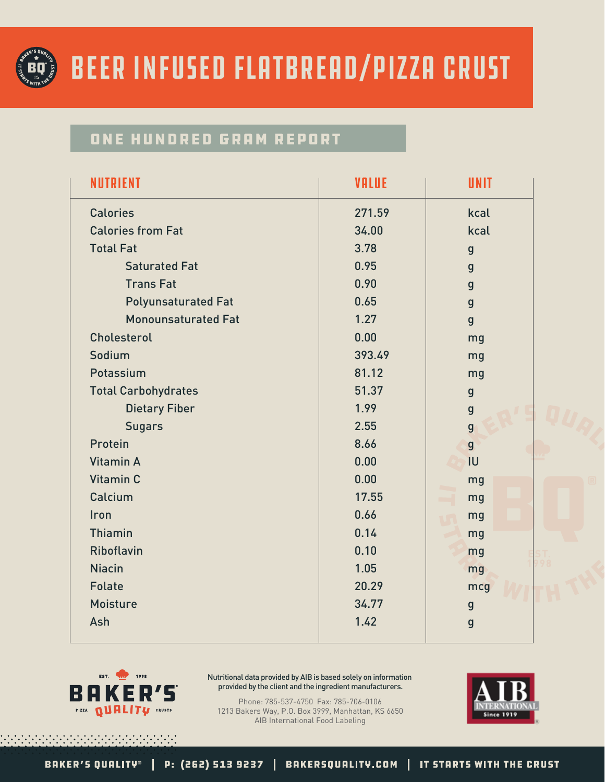

## Beer Infused Flatbread/Pizza Crust

#### ONE HUNDRED GRAM REPORT

| <b>NUTRIENT</b>            | <b>VALUE</b> | <b>UNIT</b>    |
|----------------------------|--------------|----------------|
| <b>Calories</b>            | 271.59       | kcal           |
| <b>Calories from Fat</b>   | 34.00        | kcal           |
| <b>Total Fat</b>           | 3.78         | $\mathbf{g}$   |
| <b>Saturated Fat</b>       | 0.95         | $\mathbf{g}$   |
| <b>Trans Fat</b>           | 0.90         | $\mathbf{g}$   |
| <b>Polyunsaturated Fat</b> | 0.65         | $\mathbf{g}$   |
| <b>Monounsaturated Fat</b> | 1.27         | $\mathbf{g}$   |
| Cholesterol                | 0.00         | mg             |
| Sodium                     | 393.49       | mg             |
| Potassium                  | 81.12        | mg             |
| <b>Total Carbohydrates</b> | 51.37        | $\mathbf{g}$   |
| <b>Dietary Fiber</b>       | 1.99         | $\mathbf{g}$   |
| <b>Sugars</b>              | 2.55         | $\overline{g}$ |
| Protein                    | 8.66         | $\overline{g}$ |
| Vitamin A                  | 0.00         | <b>IU</b>      |
| Vitamin C                  | 0.00         | mg             |
| Calcium                    | 17.55        | mg             |
| <b>Iron</b>                | 0.66         | mg             |
| Thiamin                    | 0.14         | mg             |
| <b>Riboflavin</b>          | 0.10         | mg             |
| <b>Niacin</b>              | 1.05         | mg             |
| <b>Folate</b>              | 20.29        | mcg            |
| <b>Moisture</b>            | 34.77        | $\mathbf{g}$   |
| Ash                        | 1.42         | $\mathbf{g}$   |
|                            |              |                |



Nutritional data provided by AIB is based solely on information provided by the client and the ingredient manufacturers.

Phone: 785-537-4750 Fax: 785-706-0106 1213 Bakers Way, P.O. Box 3999, Manhattan, KS 6650 AIB International Food Labeling

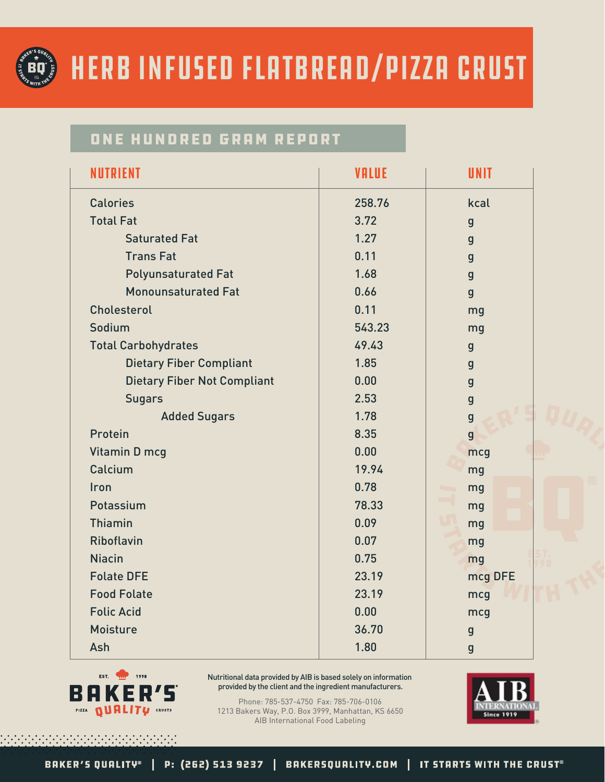

## Herb Infused Flatbread/Pizza Crust

#### ONE HUNDRED GRAM REPORT

| <b>NUTRIENT</b>                    | <b>VALUE</b> | UNIT         |
|------------------------------------|--------------|--------------|
| <b>Calories</b>                    | 258.76       | kcal         |
| <b>Total Fat</b>                   | 3.72         | $\mathbf{g}$ |
| <b>Saturated Fat</b>               | 1.27         | $\mathbf{g}$ |
| <b>Trans Fat</b>                   | 0.11         | $\mathbf{g}$ |
| <b>Polyunsaturated Fat</b>         | 1.68         | $\mathbf{g}$ |
| <b>Monounsaturated Fat</b>         | 0.66         | $\mathbf{g}$ |
| Cholesterol                        | 0.11         | mg           |
| Sodium                             | 543.23       | mg           |
| <b>Total Carbohydrates</b>         | 49.43        | $\mathbf{g}$ |
| <b>Dietary Fiber Compliant</b>     | 1.85         | $\mathbf{g}$ |
| <b>Dietary Fiber Not Compliant</b> | 0.00         | $\mathbf{g}$ |
| <b>Sugars</b>                      | 2.53         | $\mathbf{g}$ |
| <b>Added Sugars</b>                | 1.78         | $\mathbf{g}$ |
| Protein                            | 8.35         | $\mathbf{g}$ |
| Vitamin D mcg                      | 0.00         | mcg          |
| Calcium                            | 19.94        | mg           |
| Iron                               | 0.78         | mg           |
| Potassium                          | 78.33        | mg           |
| <b>Thiamin</b>                     | 0.09         | mg           |
| <b>Riboflavin</b>                  | 0.07         | mg           |
| <b>Niacin</b>                      | 0.75         | mg           |
| <b>Folate DFE</b>                  | 23.19        | mcg DFE      |
| <b>Food Folate</b>                 | 23.19        | mcg          |
| <b>Folic Acid</b>                  | 0.00         | mcg          |
| <b>Moisture</b>                    | 36.70        | $\mathbf{g}$ |
| Ash                                | 1.80         | $\mathbf{g}$ |



Nutritional data provided by AIB is based solely on information provided by the client and the ingredient manufacturers.

Phone: 785-537-4750 Fax: 785-706-0106 1213 Bakers Way, P.O. Box 3999, Manhattan, KS 6650 AIB International Food Labeling

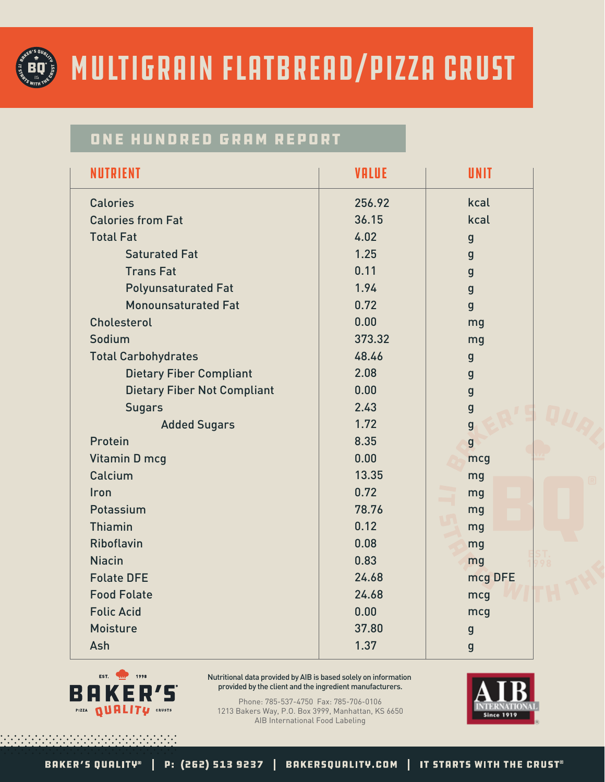

# Multigrain Flatbread/Pizza Crust

#### ONE HUNDRED GRAM REPORT

| <b>NUTRIENT</b>                    | <b>VALUE</b> | <b>UNIT</b>    |
|------------------------------------|--------------|----------------|
| <b>Calories</b>                    | 256.92       | kcal           |
| <b>Calories from Fat</b>           | 36.15        | kcal           |
| <b>Total Fat</b>                   | 4.02         | $\mathbf{g}$   |
| <b>Saturated Fat</b>               | 1.25         | $\mathbf{g}$   |
| <b>Trans Fat</b>                   | 0.11         | $\mathbf{g}$   |
| <b>Polyunsaturated Fat</b>         | 1.94         | $\mathbf{g}$   |
| <b>Monounsaturated Fat</b>         | 0.72         | $\mathbf{g}$   |
| Cholesterol                        | 0.00         | mg             |
| Sodium                             | 373.32       | mg             |
| <b>Total Carbohydrates</b>         | 48.46        | $\mathbf{g}$   |
| <b>Dietary Fiber Compliant</b>     | 2.08         | $\mathbf{g}$   |
| <b>Dietary Fiber Not Compliant</b> | 0.00         | $\mathbf{g}$   |
| <b>Sugars</b>                      | 2.43         | $\mathbf{g}$   |
| <b>Added Sugars</b>                | 1.72         | $\mathbf{g}$   |
| Protein                            | 8.35         | $\overline{g}$ |
| Vitamin D mcg                      | 0.00         | mcg            |
| Calcium                            | 13.35        | mg             |
| Iron                               | 0.72         | mg             |
| Potassium                          | 78.76        | mg             |
| <b>Thiamin</b>                     | 0.12         | mg             |
| <b>Riboflavin</b>                  | 0.08         | mg             |
| <b>Niacin</b>                      | 0.83         | mg             |
| <b>Folate DFE</b>                  | 24.68        | mcg DFE        |
| <b>Food Folate</b>                 | 24.68        | mcg            |
| <b>Folic Acid</b>                  | 0.00         | mcg            |
| <b>Moisture</b>                    | 37.80        | $\mathbf{g}$   |
| Ash                                | 1.37         | $\mathbf{g}$   |
|                                    |              |                |



Nutritional data provided by AIB is based solely on information provided by the client and the ingredient manufacturers.

Phone: 785-537-4750 Fax: 785-706-0106 1213 Bakers Way, P.O. Box 3999, Manhattan, KS 6650 AIB International Food Labeling